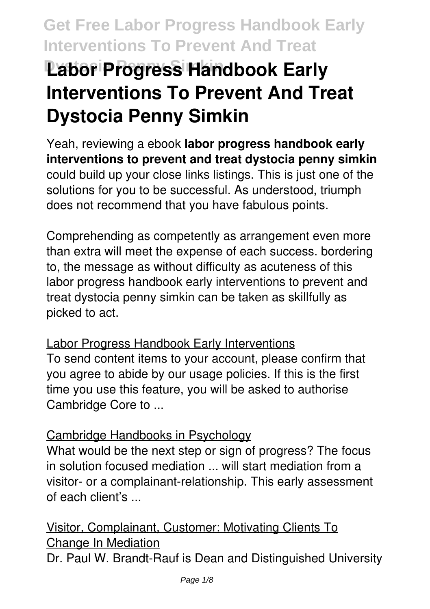# **Labor Progress Handbook Early Interventions To Prevent And Treat Dystocia Penny Simkin**

Yeah, reviewing a ebook **labor progress handbook early interventions to prevent and treat dystocia penny simkin** could build up your close links listings. This is just one of the solutions for you to be successful. As understood, triumph does not recommend that you have fabulous points.

Comprehending as competently as arrangement even more than extra will meet the expense of each success. bordering to, the message as without difficulty as acuteness of this labor progress handbook early interventions to prevent and treat dystocia penny simkin can be taken as skillfully as picked to act.

### Labor Progress Handbook Early Interventions

To send content items to your account, please confirm that you agree to abide by our usage policies. If this is the first time you use this feature, you will be asked to authorise Cambridge Core to ...

### Cambridge Handbooks in Psychology

What would be the next step or sign of progress? The focus in solution focused mediation ... will start mediation from a visitor- or a complainant-relationship. This early assessment of each client's ...

Visitor, Complainant, Customer: Motivating Clients To Change In Mediation Dr. Paul W. Brandt-Rauf is Dean and Distinguished University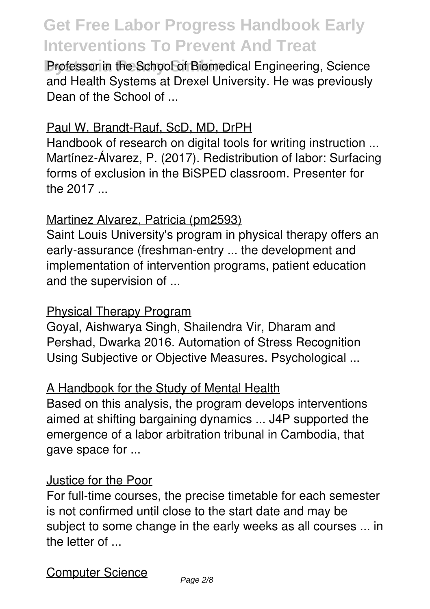**Professor in the School of Biomedical Engineering, Science** and Health Systems at Drexel University. He was previously Dean of the School of ...

#### Paul W. Brandt-Rauf, ScD, MD, DrPH

Handbook of research on digital tools for writing instruction ... Martínez-Álvarez, P. (2017). Redistribution of labor: Surfacing forms of exclusion in the BiSPED classroom. Presenter for the 2017 ...

### Martinez Alvarez, Patricia (pm2593)

Saint Louis University's program in physical therapy offers an early-assurance (freshman-entry ... the development and implementation of intervention programs, patient education and the supervision of ...

### Physical Therapy Program

Goyal, Aishwarya Singh, Shailendra Vir, Dharam and Pershad, Dwarka 2016. Automation of Stress Recognition Using Subjective or Objective Measures. Psychological ...

### A Handbook for the Study of Mental Health

Based on this analysis, the program develops interventions aimed at shifting bargaining dynamics ... J4P supported the emergence of a labor arbitration tribunal in Cambodia, that gave space for ...

#### Justice for the Poor

For full-time courses, the precise timetable for each semester is not confirmed until close to the start date and may be subject to some change in the early weeks as all courses ... in the letter of ...

Computer Science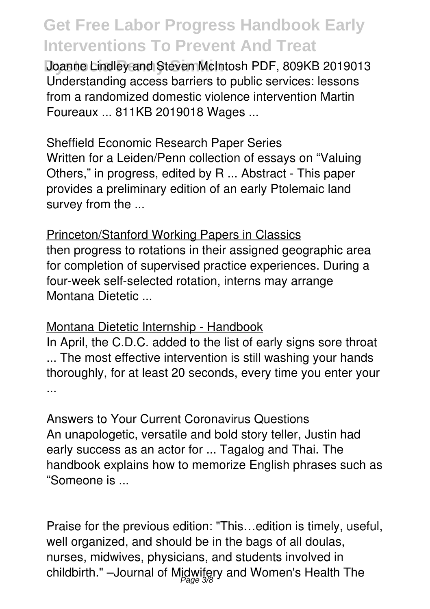**Joanne Lindley and Steven McIntosh PDF, 809KB 2019013** Understanding access barriers to public services: lessons from a randomized domestic violence intervention Martin Foureaux ... 811KB 2019018 Wages ...

#### Sheffield Economic Research Paper Series

Written for a Leiden/Penn collection of essays on "Valuing Others," in progress, edited by R ... Abstract - This paper provides a preliminary edition of an early Ptolemaic land survey from the ...

Princeton/Stanford Working Papers in Classics then progress to rotations in their assigned geographic area for completion of supervised practice experiences. During a four-week self-selected rotation, interns may arrange Montana Dietetic ...

#### Montana Dietetic Internship - Handbook

In April, the C.D.C. added to the list of early signs sore throat ... The most effective intervention is still washing your hands thoroughly, for at least 20 seconds, every time you enter your ...

Answers to Your Current Coronavirus Questions An unapologetic, versatile and bold story teller, Justin had early success as an actor for ... Tagalog and Thai. The handbook explains how to memorize English phrases such as "Someone is ...

Praise for the previous edition: "This…edition is timely, useful, well organized, and should be in the bags of all doulas, nurses, midwives, physicians, and students involved in childbirth." –Journal of Mjdwifery and Women's Health The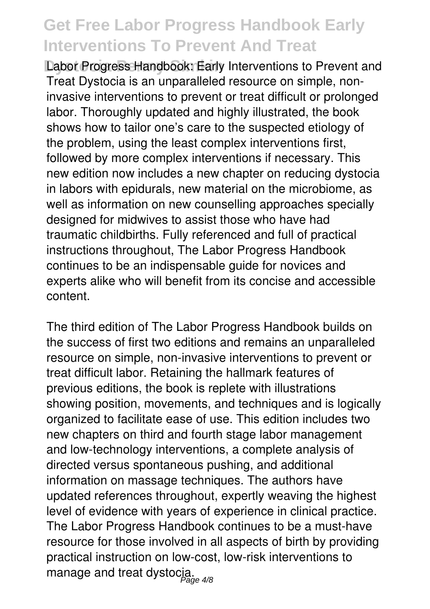**Dabor Progress Handbook: Early Interventions to Prevent and** Treat Dystocia is an unparalleled resource on simple, noninvasive interventions to prevent or treat difficult or prolonged labor. Thoroughly updated and highly illustrated, the book shows how to tailor one's care to the suspected etiology of the problem, using the least complex interventions first, followed by more complex interventions if necessary. This new edition now includes a new chapter on reducing dystocia in labors with epidurals, new material on the microbiome, as well as information on new counselling approaches specially designed for midwives to assist those who have had traumatic childbirths. Fully referenced and full of practical instructions throughout, The Labor Progress Handbook continues to be an indispensable guide for novices and experts alike who will benefit from its concise and accessible content.

The third edition of The Labor Progress Handbook builds on the success of first two editions and remains an unparalleled resource on simple, non-invasive interventions to prevent or treat difficult labor. Retaining the hallmark features of previous editions, the book is replete with illustrations showing position, movements, and techniques and is logically organized to facilitate ease of use. This edition includes two new chapters on third and fourth stage labor management and low-technology interventions, a complete analysis of directed versus spontaneous pushing, and additional information on massage techniques. The authors have updated references throughout, expertly weaving the highest level of evidence with years of experience in clinical practice. The Labor Progress Handbook continues to be a must-have resource for those involved in all aspects of birth by providing practical instruction on low-cost, low-risk interventions to manage and treat dystocja.<br><sub>age 4/8</sub>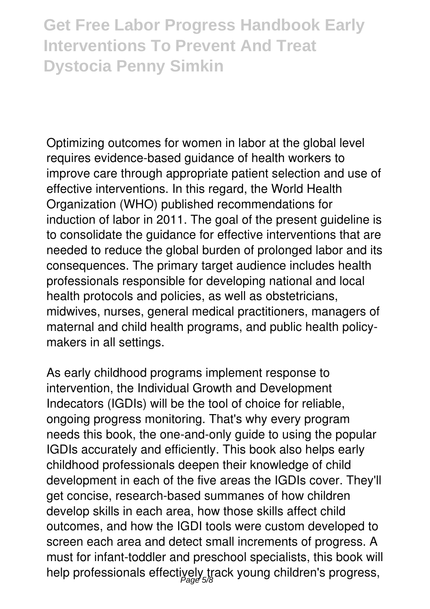# **Get Free Labor Progress Handbook Early Interventions To Prevent And Treat Dystocia Penny Simkin**

Optimizing outcomes for women in labor at the global level requires evidence-based guidance of health workers to improve care through appropriate patient selection and use of effective interventions. In this regard, the World Health Organization (WHO) published recommendations for induction of labor in 2011. The goal of the present guideline is to consolidate the guidance for effective interventions that are needed to reduce the global burden of prolonged labor and its consequences. The primary target audience includes health professionals responsible for developing national and local health protocols and policies, as well as obstetricians, midwives, nurses, general medical practitioners, managers of maternal and child health programs, and public health policymakers in all settings.

As early childhood programs implement response to intervention, the Individual Growth and Development Indecators (IGDIs) will be the tool of choice for reliable, ongoing progress monitoring. That's why every program needs this book, the one-and-only guide to using the popular IGDIs accurately and efficiently. This book also helps early childhood professionals deepen their knowledge of child development in each of the five areas the IGDIs cover. They'll get concise, research-based summanes of how children develop skills in each area, how those skills affect child outcomes, and how the IGDI tools were custom developed to screen each area and detect small increments of progress. A must for infant-toddler and preschool specialists, this book will help professionals effectiyely track young children's progress,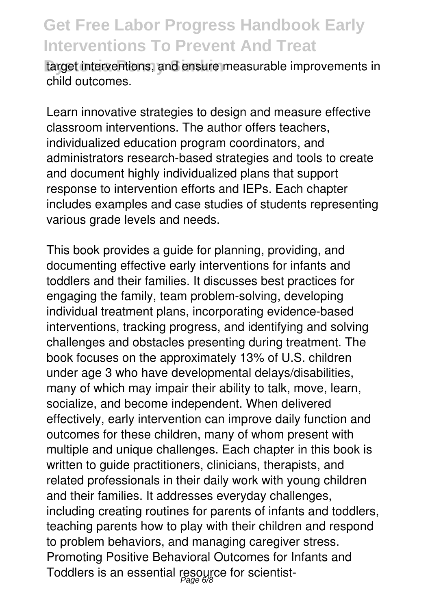target interventions, and ensure measurable improvements in child outcomes.

Learn innovative strategies to design and measure effective classroom interventions. The author offers teachers, individualized education program coordinators, and administrators research-based strategies and tools to create and document highly individualized plans that support response to intervention efforts and IEPs. Each chapter includes examples and case studies of students representing various grade levels and needs.

This book provides a guide for planning, providing, and documenting effective early interventions for infants and toddlers and their families. It discusses best practices for engaging the family, team problem-solving, developing individual treatment plans, incorporating evidence-based interventions, tracking progress, and identifying and solving challenges and obstacles presenting during treatment. The book focuses on the approximately 13% of U.S. children under age 3 who have developmental delays/disabilities, many of which may impair their ability to talk, move, learn, socialize, and become independent. When delivered effectively, early intervention can improve daily function and outcomes for these children, many of whom present with multiple and unique challenges. Each chapter in this book is written to guide practitioners, clinicians, therapists, and related professionals in their daily work with young children and their families. It addresses everyday challenges, including creating routines for parents of infants and toddlers, teaching parents how to play with their children and respond to problem behaviors, and managing caregiver stress. Promoting Positive Behavioral Outcomes for Infants and Toddlers is an essential resource for scientist-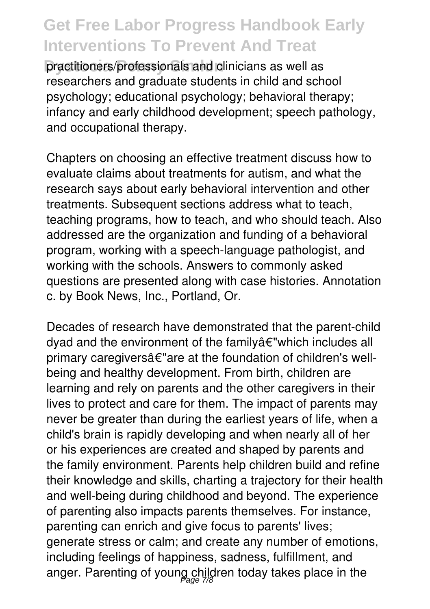practitioners/professionals and clinicians as well as researchers and graduate students in child and school psychology; educational psychology; behavioral therapy; infancy and early childhood development; speech pathology, and occupational therapy.

Chapters on choosing an effective treatment discuss how to evaluate claims about treatments for autism, and what the research says about early behavioral intervention and other treatments. Subsequent sections address what to teach, teaching programs, how to teach, and who should teach. Also addressed are the organization and funding of a behavioral program, working with a speech-language pathologist, and working with the schools. Answers to commonly asked questions are presented along with case histories. Annotation c. by Book News, Inc., Portland, Or.

Decades of research have demonstrated that the parent-child dyad and the environment of the familyâ€"which includes all primary caregiversâ€"are at the foundation of children's wellbeing and healthy development. From birth, children are learning and rely on parents and the other caregivers in their lives to protect and care for them. The impact of parents may never be greater than during the earliest years of life, when a child's brain is rapidly developing and when nearly all of her or his experiences are created and shaped by parents and the family environment. Parents help children build and refine their knowledge and skills, charting a trajectory for their health and well-being during childhood and beyond. The experience of parenting also impacts parents themselves. For instance, parenting can enrich and give focus to parents' lives; generate stress or calm; and create any number of emotions, including feelings of happiness, sadness, fulfillment, and anger. Parenting of young children today takes place in the